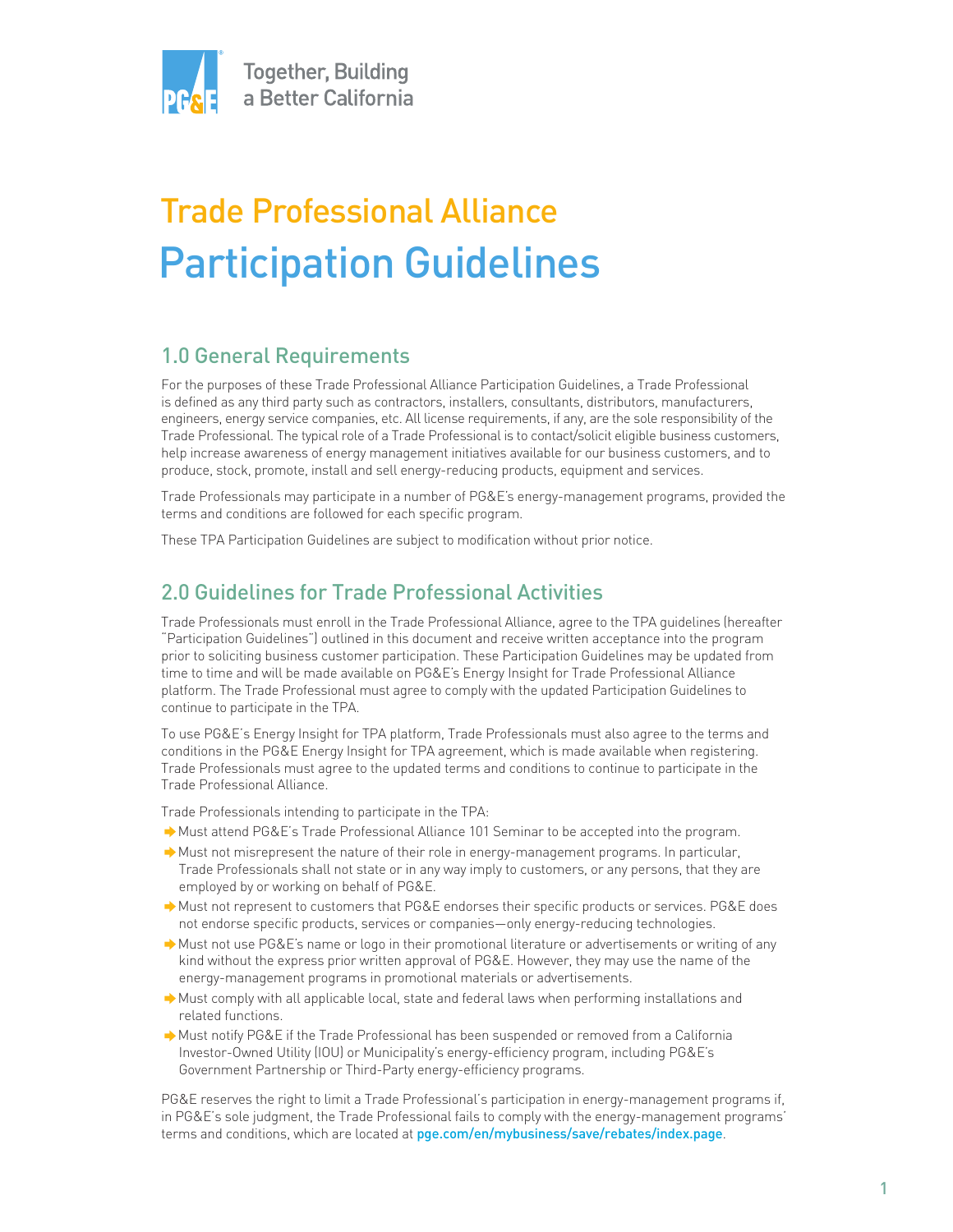

# Trade Professional Alliance Participation Guidelines

# 1.0 General Requirements

For the purposes of these Trade Professional Alliance Participation Guidelines, a Trade Professional is defined as any third party such as contractors, installers, consultants, distributors, manufacturers, engineers, energy service companies, etc. All license requirements, if any, are the sole responsibility of the Trade Professional. The typical role of a Trade Professional is to contact/solicit eligible business customers, help increase awareness of energy management initiatives available for our business customers, and to produce, stock, promote, install and sell energy-reducing products, equipment and services.

Trade Professionals may participate in a number of PG&E's energy-management programs, provided the terms and conditions are followed for each specific program.

These TPA Participation Guidelines are subject to modification without prior notice.

## 2.0 Guidelines for Trade Professional Activities

Trade Professionals must enroll in the Trade Professional Alliance, agree to the TPA guidelines (hereafter "Participation Guidelines") outlined in this document and receive written acceptance into the program prior to soliciting business customer participation. These Participation Guidelines may be updated from time to time and will be made available on PG&E's Energy Insight for Trade Professional Alliance platform. The Trade Professional must agree to comply with the updated Participation Guidelines to continue to participate in the TPA.

To use PG&E's Energy Insight for TPA platform, Trade Professionals must also agree to the terms and conditions in the PG&E Energy Insight for TPA agreement, which is made available when registering. Trade Professionals must agree to the updated terms and conditions to continue to participate in the Trade Professional Alliance.

Trade Professionals intending to participate in the TPA:

- Must attend PG&E's Trade Professional Alliance 101 Seminar to be accepted into the program.
- Must not misrepresent the nature of their role in energy-management programs. In particular, Trade Professionals shall not state or in any way imply to customers, or any persons, that they are employed by or working on behalf of PG&E.
- Must not represent to customers that PG&E endorses their specific products or services. PG&E does not endorse specific products, services or companies—only energy-reducing technologies.
- Must not use PG&E's name or logo in their promotional literature or advertisements or writing of any kind without the express prior written approval of PG&E. However, they may use the name of the energy-management programs in promotional materials or advertisements.
- Must comply with all applicable local, state and federal laws when performing installations and related functions.
- Must notify PG&E if the Trade Professional has been suspended or removed from a California Investor-Owned Utility (IOU) or Municipality's energy-efficiency program, including PG&E's Government Partnership or Third-Party energy-efficiency programs.

PG&E reserves the right to limit a Trade Professional's participation in energy-management programs if, in PG&E's sole judgment, the Trade Professional fails to comply with the energy-management programs' terms and conditions, which are located at pge.com/en/mybusiness/save/rebates/index.page.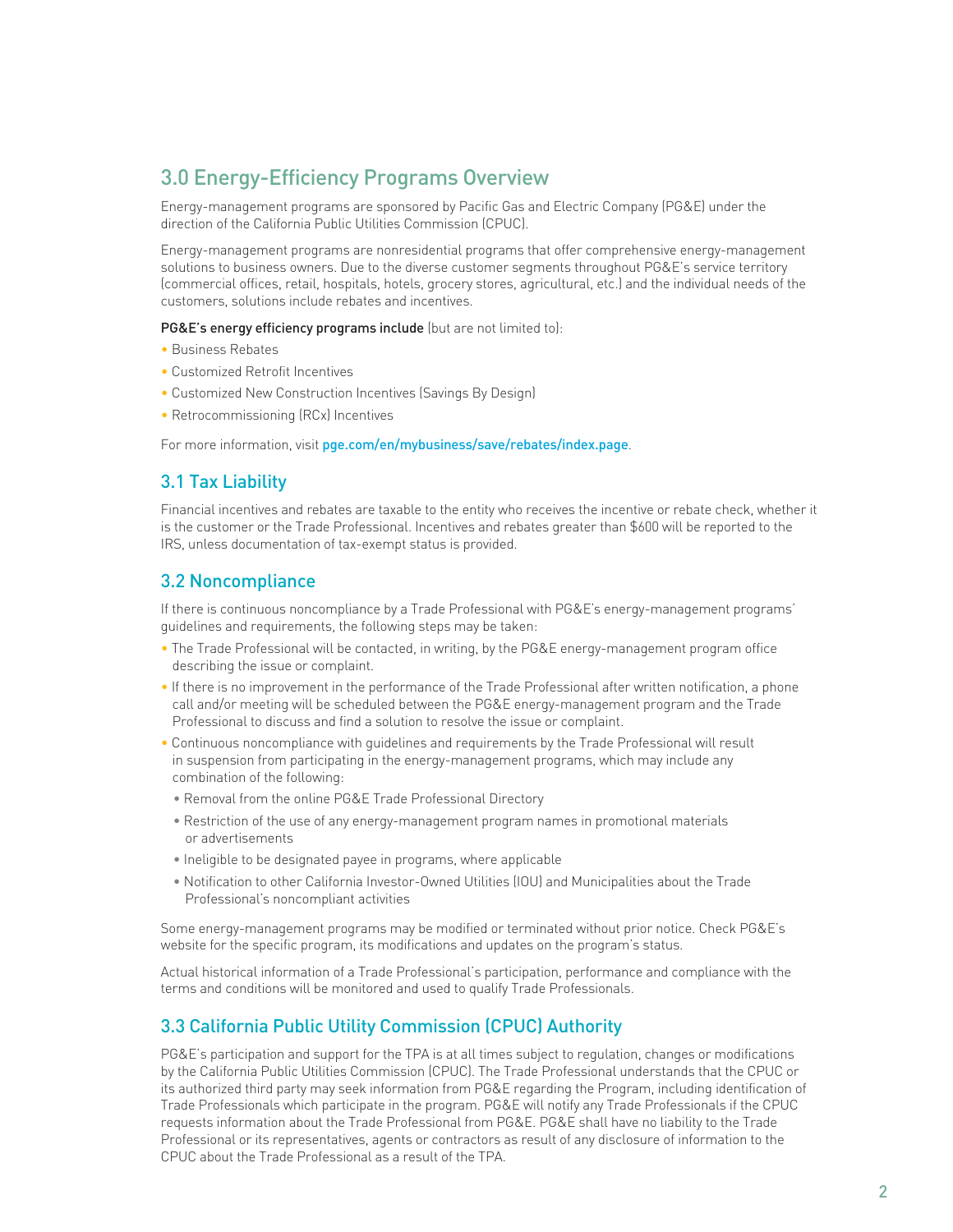## 3.0 Energy-Efficiency Programs Overview

Energy-management programs are sponsored by Pacific Gas and Electric Company (PG&E) under the direction of the California Public Utilities Commission (CPUC).

Energy-management programs are nonresidential programs that offer comprehensive energy-management solutions to business owners. Due to the diverse customer segments throughout PG&E's service territory (commercial offices, retail, hospitals, hotels, grocery stores, agricultural, etc.) and the individual needs of the customers, solutions include rebates and incentives.

PG&E's energy efficiency programs include (but are not limited to):

- Business Rebates
- Customized Retrofit Incentives
- Customized New Construction Incentives (Savings By Design)
- Retrocommissioning (RCx) Incentives

For more information, visit pge.com/en/mybusiness/save/rebates/index.page.

#### 3.1 Tax Liability

Financial incentives and rebates are taxable to the entity who receives the incentive or rebate check, whether it is the customer or the Trade Professional. Incentives and rebates greater than \$600 will be reported to the IRS, unless documentation of tax-exempt status is provided.

#### 3.2 Noncompliance

If there is continuous noncompliance by a Trade Professional with PG&E's energy-management programs' guidelines and requirements, the following steps may be taken:

- The Trade Professional will be contacted, in writing, by the PG&E energy-management program office describing the issue or complaint.
- If there is no improvement in the performance of the Trade Professional after written notification, a phone call and/or meeting will be scheduled between the PG&E energy-management program and the Trade Professional to discuss and find a solution to resolve the issue or complaint.
- Continuous noncompliance with guidelines and requirements by the Trade Professional will result in suspension from participating in the energy-management programs, which may include any combination of the following:
	- Removal from the online PG&E Trade Professional Directory
	- Restriction of the use of any energy-management program names in promotional materials or advertisements
	- Ineligible to be designated payee in programs, where applicable
	- Notification to other California Investor-Owned Utilities (IOU) and Municipalities about the Trade Professional's noncompliant activities

Some energy-management programs may be modified or terminated without prior notice. Check PG&E's website for the specific program, its modifications and updates on the program's status.

Actual historical information of a Trade Professional's participation, performance and compliance with the terms and conditions will be monitored and used to qualify Trade Professionals.

#### 3.3 California Public Utility Commission (CPUC) Authority

PG&E's participation and support for the TPA is at all times subject to regulation, changes or modifications by the California Public Utilities Commission (CPUC). The Trade Professional understands that the CPUC or its authorized third party may seek information from PG&E regarding the Program, including identification of Trade Professionals which participate in the program. PG&E will notify any Trade Professionals if the CPUC requests information about the Trade Professional from PG&E. PG&E shall have no liability to the Trade Professional or its representatives, agents or contractors as result of any disclosure of information to the CPUC about the Trade Professional as a result of the TPA.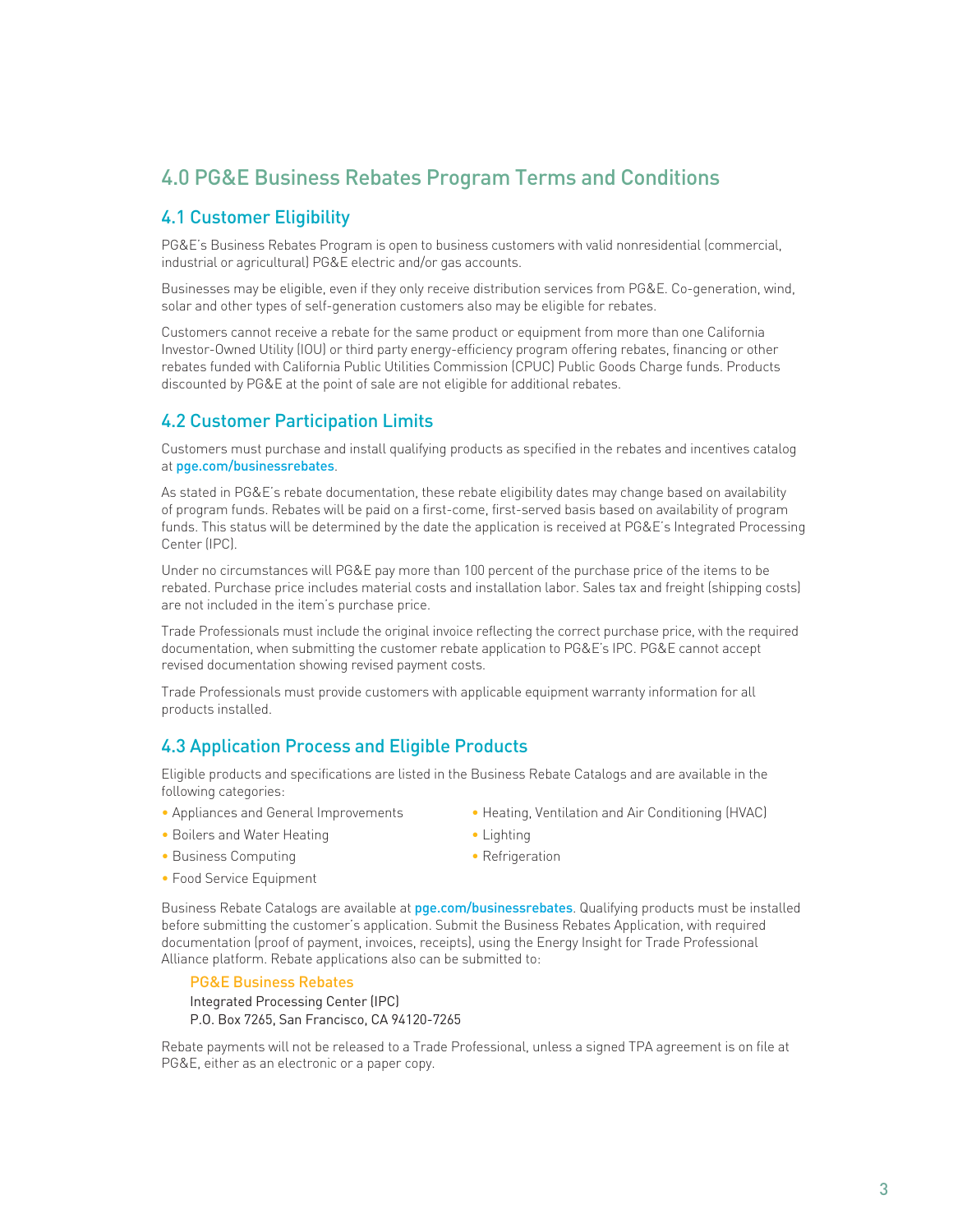# 4.0 PG&E Business Rebates Program Terms and Conditions

### 4.1 Customer Eligibility

PG&E's Business Rebates Program is open to business customers with valid nonresidential (commercial, industrial or agricultural) PG&E electric and/or gas accounts.

Businesses may be eligible, even if they only receive distribution services from PG&E. Co-generation, wind, solar and other types of self-generation customers also may be eligible for rebates.

Customers cannot receive a rebate for the same product or equipment from more than one California Investor-Owned Utility (IOU) or third party energy-efficiency program offering rebates, financing or other rebates funded with California Public Utilities Commission (CPUC) Public Goods Charge funds. Products discounted by PG&E at the point of sale are not eligible for additional rebates.

#### 4.2 Customer Participation Limits

Customers must purchase and install qualifying products as specified in the rebates and incentives catalog at pge.com/businessrebates.

As stated in PG&E's rebate documentation, these rebate eligibility dates may change based on availability of program funds. Rebates will be paid on a first-come, first-served basis based on availability of program funds. This status will be determined by the date the application is received at PG&E's Integrated Processing Center (IPC).

Under no circumstances will PG&E pay more than 100 percent of the purchase price of the items to be rebated. Purchase price includes material costs and installation labor. Sales tax and freight (shipping costs) are not included in the item's purchase price.

Trade Professionals must include the original invoice reflecting the correct purchase price, with the required documentation, when submitting the customer rebate application to PG&E's IPC. PG&E cannot accept revised documentation showing revised payment costs.

Trade Professionals must provide customers with applicable equipment warranty information for all products installed.

#### 4.3 Application Process and Eligible Products

Eligible products and specifications are listed in the Business Rebate Catalogs and are available in the following categories:

- 
- Boilers and Water Heating  **Lighting Lighting**
- Appliances and General Improvements Heating, Ventilation and Air Conditioning (HVAC)
	-
- 
- Business Computing  **Refrigeration** • Food Service Equipment
- Business Rebate Catalogs are available at pge.com/businessrebates. Qualifying products must be installed before submitting the customer's application. Submit the Business Rebates Application, with required documentation (proof of payment, invoices, receipts), using the Energy Insight for Trade Professional

PG&E Business Rebates Integrated Processing Center (IPC) P.O. Box 7265, San Francisco, CA 94120-7265

Alliance platform. Rebate applications also can be submitted to:

Rebate payments will not be released to a Trade Professional, unless a signed TPA agreement is on file at PG&E, either as an electronic or a paper copy.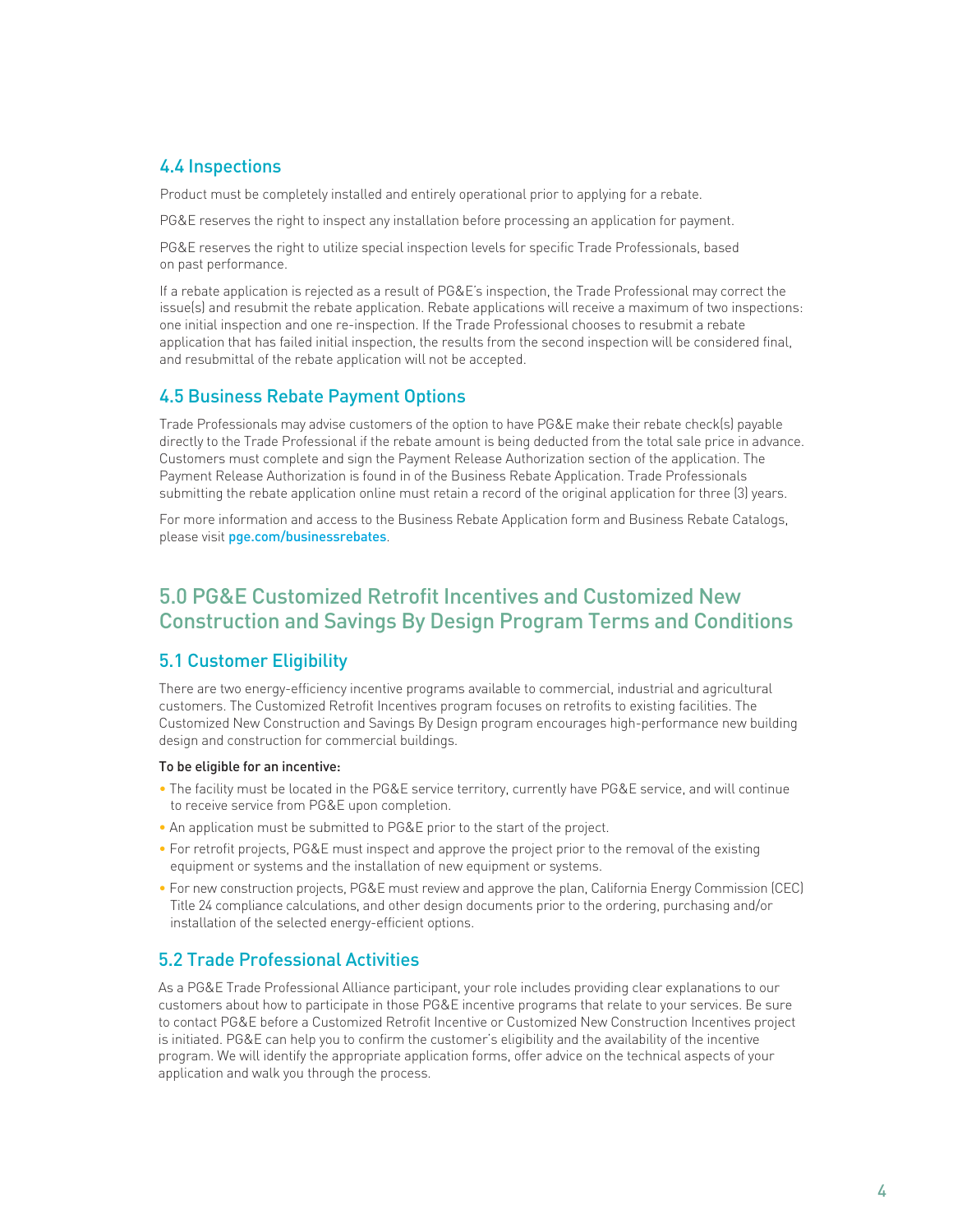## 4.4 Inspections

Product must be completely installed and entirely operational prior to applying for a rebate.

PG&E reserves the right to inspect any installation before processing an application for payment.

PG&E reserves the right to utilize special inspection levels for specific Trade Professionals, based on past performance.

If a rebate application is rejected as a result of PG&E's inspection, the Trade Professional may correct the issue(s) and resubmit the rebate application. Rebate applications will receive a maximum of two inspections: one initial inspection and one re-inspection. If the Trade Professional chooses to resubmit a rebate application that has failed initial inspection, the results from the second inspection will be considered final, and resubmittal of the rebate application will not be accepted.

#### 4.5 Business Rebate Payment Options

Trade Professionals may advise customers of the option to have PG&E make their rebate check(s) payable directly to the Trade Professional if the rebate amount is being deducted from the total sale price in advance. Customers must complete and sign the Payment Release Authorization section of the application. The Payment Release Authorization is found in of the Business Rebate Application. Trade Professionals submitting the rebate application online must retain a record of the original application for three (3) years.

For more information and access to the Business Rebate Application form and Business Rebate Catalogs, please visit pge.com/businessrebates.

## 5.0 PG&E Customized Retrofit Incentives and Customized New Construction and Savings By Design Program Terms and Conditions

#### 5.1 Customer Eligibility

There are two energy-efficiency incentive programs available to commercial, industrial and agricultural customers. The Customized Retrofit Incentives program focuses on retrofits to existing facilities. The Customized New Construction and Savings By Design program encourages high-performance new building design and construction for commercial buildings.

#### To be eligible for an incentive:

- The facility must be located in the PG&E service territory, currently have PG&E service, and will continue to receive service from PG&E upon completion.
- An application must be submitted to PG&E prior to the start of the project.
- For retrofit projects, PG&E must inspect and approve the project prior to the removal of the existing equipment or systems and the installation of new equipment or systems.
- For new construction projects, PG&E must review and approve the plan, California Energy Commission (CEC) Title 24 compliance calculations, and other design documents prior to the ordering, purchasing and/or installation of the selected energy-efficient options.

## 5.2 Trade Professional Activities

As a PG&E Trade Professional Alliance participant, your role includes providing clear explanations to our customers about how to participate in those PG&E incentive programs that relate to your services. Be sure to contact PG&E before a Customized Retrofit Incentive or Customized New Construction Incentives project is initiated. PG&E can help you to confirm the customer's eligibility and the availability of the incentive program. We will identify the appropriate application forms, offer advice on the technical aspects of your application and walk you through the process.